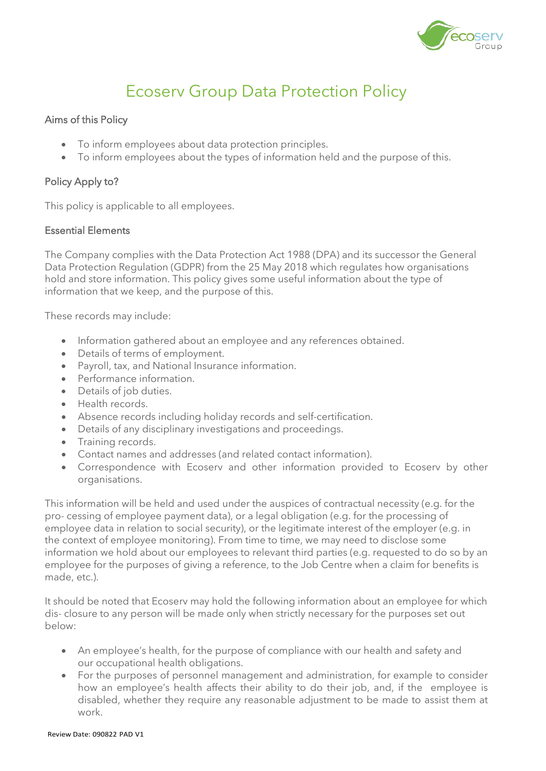

# Ecoserv Group Data Protection Policy

## Aims of this Policy

- To inform employees about data protection principles.
- To inform employees about the types of information held and the purpose of this.

## Policy Apply to?

This policy is applicable to all employees.

### Essential Elements

The Company complies with the Data Protection Act 1988 (DPA) and its successor the General Data Protection Regulation (GDPR) from the 25 May 2018 which regulates how organisations hold and store information. This policy gives some useful information about the type of information that we keep, and the purpose of this.

These records may include:

- Information gathered about an employee and any references obtained.
- Details of terms of employment.
- Payroll, tax, and National Insurance information.
- Performance information.
- Details of job duties.
- Health records.
- Absence records including holiday records and self-certification.
- Details of any disciplinary investigations and proceedings.
- Training records.
- Contact names and addresses (and related contact information).
- Correspondence with Ecoserv and other information provided to Ecoserv by other organisations.

This information will be held and used under the auspices of contractual necessity (e.g. for the pro- cessing of employee payment data), or a legal obligation (e.g. for the processing of employee data in relation to social security), or the legitimate interest of the employer (e.g. in the context of employee monitoring). From time to time, we may need to disclose some information we hold about our employees to relevant third parties (e.g. requested to do so by an employee for the purposes of giving a reference, to the Job Centre when a claim for benefits is made, etc.).

It should be noted that Ecoserv may hold the following information about an employee for which dis- closure to any person will be made only when strictly necessary for the purposes set out below:

- An employee's health, for the purpose of compliance with our health and safety and our occupational health obligations.
- For the purposes of personnel management and administration, for example to consider how an employee's health affects their ability to do their job, and, if the employee is disabled, whether they require any reasonable adjustment to be made to assist them at work.